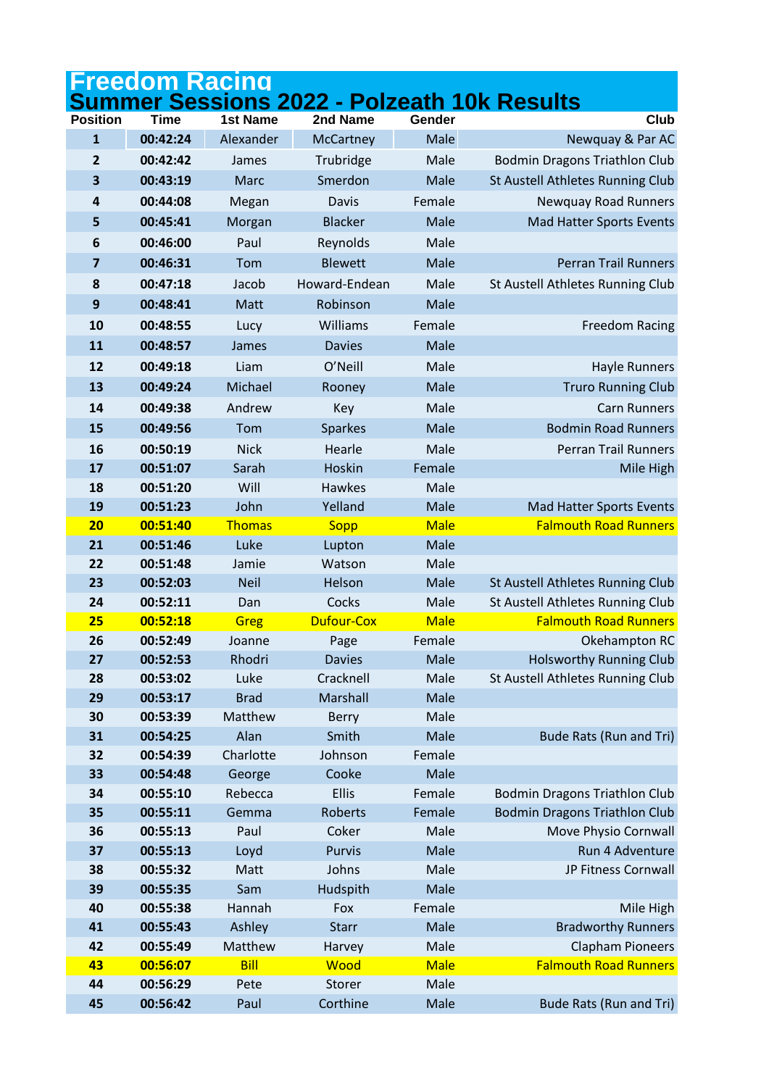|                         | Freedom Racinq       |                 |                   |                |                                            |
|-------------------------|----------------------|-----------------|-------------------|----------------|--------------------------------------------|
|                         |                      |                 |                   |                | ummer Sessions 2022 - Polzeath 10k Results |
| <b>Position</b>         | <b>Time</b>          | <b>1st Name</b> | 2nd Name          | Gender         | Club                                       |
| $\mathbf{1}$            | 00:42:24             | Alexander       | McCartney         | Male           | Newquay & Par AC                           |
| $\overline{2}$          | 00:42:42             | James           | Trubridge         | Male           | <b>Bodmin Dragons Triathlon Club</b>       |
| 3                       | 00:43:19             | Marc            | Smerdon           | Male           | St Austell Athletes Running Club           |
| 4                       | 00:44:08             | Megan           | Davis             | Female         | <b>Newquay Road Runners</b>                |
| 5                       | 00:45:41             | Morgan          | <b>Blacker</b>    | Male           | Mad Hatter Sports Events                   |
| 6                       | 00:46:00             | Paul            | Reynolds          | Male           |                                            |
| $\overline{\mathbf{z}}$ | 00:46:31             | Tom             | <b>Blewett</b>    | Male           | <b>Perran Trail Runners</b>                |
| 8                       | 00:47:18             | Jacob           | Howard-Endean     | Male           | St Austell Athletes Running Club           |
| 9                       | 00:48:41             | Matt            | Robinson          | Male           |                                            |
| 10                      | 00:48:55             | Lucy            | Williams          | Female         | <b>Freedom Racing</b>                      |
| 11                      | 00:48:57             | James           | <b>Davies</b>     | Male           |                                            |
| 12                      | 00:49:18             | Liam            | O'Neill           | Male           | <b>Hayle Runners</b>                       |
| 13                      | 00:49:24             | Michael         | Rooney            | Male           | <b>Truro Running Club</b>                  |
| 14                      | 00:49:38             | Andrew          | Key               | Male           | <b>Carn Runners</b>                        |
| 15                      | 00:49:56             | Tom             | <b>Sparkes</b>    | Male           | <b>Bodmin Road Runners</b>                 |
| 16                      | 00:50:19             | <b>Nick</b>     | Hearle            | Male           | <b>Perran Trail Runners</b>                |
| 17                      | 00:51:07             | Sarah           | Hoskin            | Female         | Mile High                                  |
| 18                      | 00:51:20             | Will            | <b>Hawkes</b>     | Male           |                                            |
| 19                      | 00:51:23             | John            | Yelland           | Male           | Mad Hatter Sports Events                   |
| 20                      | 00:51:40             | <b>Thomas</b>   | <b>Sopp</b>       | <b>Male</b>    | <b>Falmouth Road Runners</b>               |
| 21                      | 00:51:46             | Luke            | Lupton            | Male           |                                            |
| 22                      | 00:51:48             | Jamie           | Watson            | Male           |                                            |
| 23                      | 00:52:03             | <b>Neil</b>     | Helson            | Male           | St Austell Athletes Running Club           |
| 24                      | 00:52:11             | Dan             | Cocks             | Male           | St Austell Athletes Running Club           |
| 25                      | 00:52:18             | Greg            | <b>Dufour-Cox</b> | <b>Male</b>    | <b>Falmouth Road Runners</b>               |
| 26                      | 00:52:49             | Joanne          | Page              | Female         | Okehampton RC                              |
| 27                      | 00:52:53             | Rhodri          | <b>Davies</b>     | Male           | <b>Holsworthy Running Club</b>             |
| 28                      | 00:53:02             | Luke            | Cracknell         | Male           | St Austell Athletes Running Club           |
| 29                      | 00:53:17             | <b>Brad</b>     | Marshall          | Male           |                                            |
| 30                      | 00:53:39             | Matthew         | Berry             | Male           |                                            |
| 31                      | 00:54:25             | Alan            | Smith             | Male           | Bude Rats (Run and Tri)                    |
| 32                      | 00:54:39             | Charlotte       | Johnson           | Female         |                                            |
| 33                      | 00:54:48             | George          | Cooke             | Male           |                                            |
| 34                      | 00:55:10             | Rebecca         | Ellis             | Female         | <b>Bodmin Dragons Triathlon Club</b>       |
| 35                      | 00:55:11             | Gemma           | Roberts           | Female         | <b>Bodmin Dragons Triathlon Club</b>       |
| 36                      | 00:55:13             | Paul            | Coker             | Male           | Move Physio Cornwall                       |
| 37                      | 00:55:13             | Loyd            | <b>Purvis</b>     | Male           | Run 4 Adventure                            |
| 38                      | 00:55:32             | Matt            | Johns             | Male           | JP Fitness Cornwall                        |
| 39<br>40                | 00:55:35<br>00:55:38 | Sam<br>Hannah   | Hudspith<br>Fox   | Male<br>Female | Mile High                                  |
| 41                      | 00:55:43             | Ashley          | <b>Starr</b>      | Male           | <b>Bradworthy Runners</b>                  |
| 42                      | 00:55:49             | Matthew         | Harvey            | Male           | <b>Clapham Pioneers</b>                    |
| 43                      | 00:56:07             | <b>Bill</b>     | Wood              | <b>Male</b>    | <b>Falmouth Road Runners</b>               |
| 44                      | 00:56:29             | Pete            | Storer            | Male           |                                            |
| 45                      | 00:56:42             | Paul            | Corthine          | Male           | Bude Rats (Run and Tri)                    |
|                         |                      |                 |                   |                |                                            |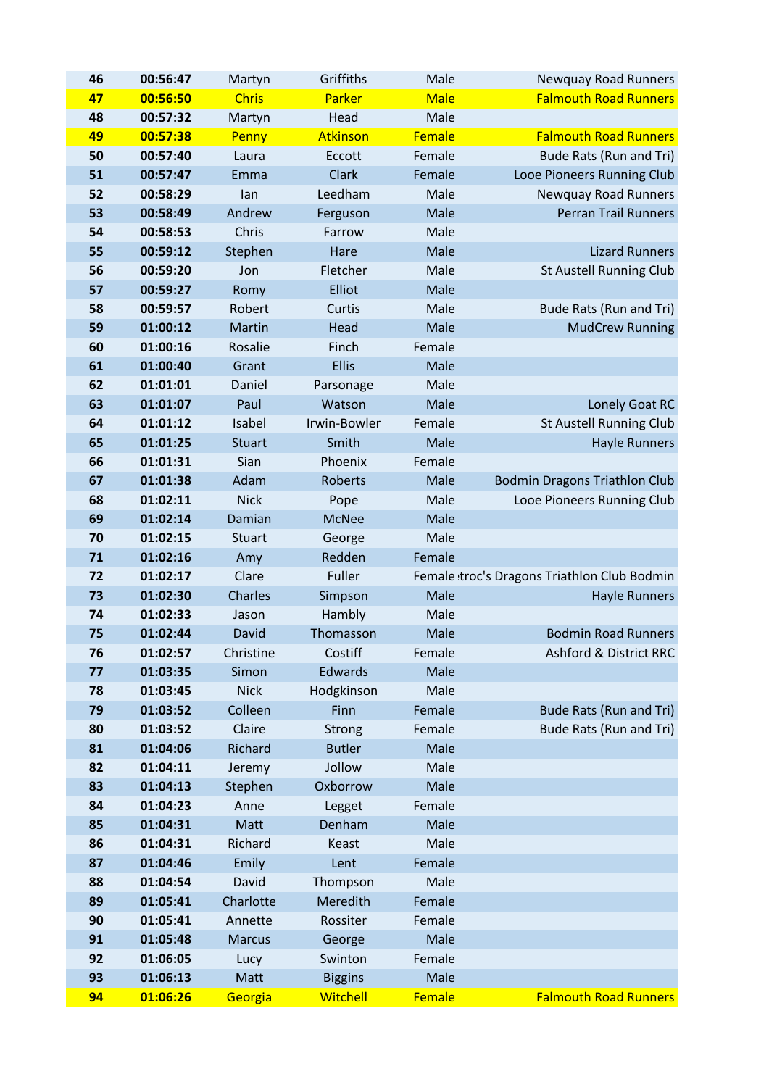| 46 | 00:56:47             | Martyn        | Griffiths       | Male        | <b>Newquay Road Runners</b>                 |
|----|----------------------|---------------|-----------------|-------------|---------------------------------------------|
| 47 | 00:56:50             | <b>Chris</b>  | Parker          | <b>Male</b> | <b>Falmouth Road Runners</b>                |
| 48 | 00:57:32             | Martyn        | Head            | Male        |                                             |
| 49 | 00:57:38             | Penny         | Atkinson        | Female      | <b>Falmouth Road Runners</b>                |
| 50 | 00:57:40             | Laura         | Eccott          | Female      | Bude Rats (Run and Tri)                     |
| 51 | 00:57:47             | Emma          | Clark           | Female      | Looe Pioneers Running Club                  |
| 52 | 00:58:29             | lan           | Leedham         | Male        | <b>Newquay Road Runners</b>                 |
| 53 | 00:58:49             | Andrew        | Ferguson        | Male        | <b>Perran Trail Runners</b>                 |
| 54 | 00:58:53             | Chris         | Farrow          | Male        |                                             |
| 55 | 00:59:12             | Stephen       | Hare            | Male        | <b>Lizard Runners</b>                       |
| 56 | 00:59:20             | Jon           | Fletcher        | Male        | St Austell Running Club                     |
| 57 | 00:59:27             | Romy          | Elliot          | Male        |                                             |
| 58 | 00:59:57             | Robert        | Curtis          | Male        | Bude Rats (Run and Tri)                     |
| 59 | 01:00:12             | Martin        | Head            | Male        | <b>MudCrew Running</b>                      |
| 60 | 01:00:16             | Rosalie       | Finch           | Female      |                                             |
| 61 | 01:00:40             | Grant         | <b>Ellis</b>    | Male        |                                             |
| 62 | 01:01:01             | Daniel        | Parsonage       | Male        |                                             |
| 63 | 01:01:07             | Paul          | Watson          | Male        | Lonely Goat RC                              |
| 64 | 01:01:12             | Isabel        | Irwin-Bowler    | Female      | <b>St Austell Running Club</b>              |
| 65 | 01:01:25             | <b>Stuart</b> | Smith           | Male        | <b>Hayle Runners</b>                        |
| 66 | 01:01:31             | Sian          | Phoenix         | Female      |                                             |
| 67 | 01:01:38             | Adam          | Roberts         | Male        | <b>Bodmin Dragons Triathlon Club</b>        |
| 68 | 01:02:11             | <b>Nick</b>   | Pope            | Male        | Looe Pioneers Running Club                  |
| 69 | 01:02:14             | Damian        | <b>McNee</b>    | Male        |                                             |
| 70 | 01:02:15             | <b>Stuart</b> | George          | Male        |                                             |
| 71 | 01:02:16             | Amy           | Redden          | Female      |                                             |
| 72 | 01:02:17             | Clare         | Fuller          |             | Female troc's Dragons Triathlon Club Bodmin |
| 73 | 01:02:30             | Charles       | Simpson         | Male        | <b>Hayle Runners</b>                        |
| 74 | 01:02:33             | Jason         | Hambly          | Male        |                                             |
| 75 | 01:02:44             | David         | Thomasson       | Male        | <b>Bodmin Road Runners</b>                  |
| 76 | 01:02:57             | Christine     | Costiff         | Female      | Ashford & District RRC                      |
| 77 | 01:03:35             | Simon         | Edwards         | Male        |                                             |
| 78 | 01:03:45             | <b>Nick</b>   | Hodgkinson      | Male        |                                             |
| 79 | 01:03:52             | Colleen       | Finn            | Female      | Bude Rats (Run and Tri)                     |
| 80 | 01:03:52             | Claire        | Strong          | Female      | Bude Rats (Run and Tri)                     |
| 81 | 01:04:06             | Richard       | <b>Butler</b>   | Male        |                                             |
| 82 | 01:04:11             | Jeremy        | Jollow          | Male        |                                             |
| 83 | 01:04:13             | Stephen       | Oxborrow        | Male        |                                             |
| 84 | 01:04:23             | Anne          | Legget          | Female      |                                             |
| 85 | 01:04:31             | Matt          | Denham          | Male        |                                             |
| 86 | 01:04:31             | Richard       | Keast           | Male        |                                             |
| 87 | 01:04:46             | Emily         | Lent            | Female      |                                             |
| 88 | 01:04:54             | David         | Thompson        | Male        |                                             |
| 89 | 01:05:41             | Charlotte     | Meredith        | Female      |                                             |
| 90 | 01:05:41             | Annette       | Rossiter        | Female      |                                             |
| 91 | 01:05:48             | <b>Marcus</b> | George          | Male        |                                             |
| 92 | 01:06:05             | Lucy          | Swinton         | Female      |                                             |
| 93 |                      | Matt          | <b>Biggins</b>  | Male        |                                             |
| 94 | 01:06:13<br>01:06:26 | Georgia       | <b>Witchell</b> | Female      | <b>Falmouth Road Runners</b>                |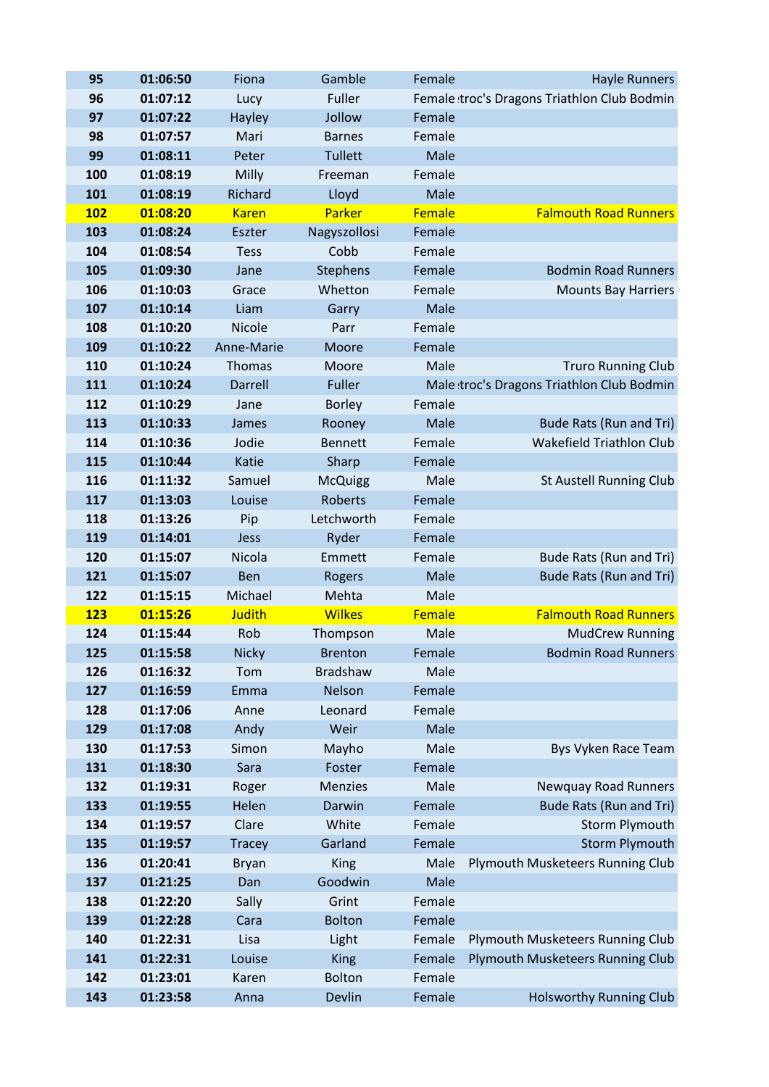| 95         | 01:06:50             | Fiona         | Gamble          | Female       | <b>Hayle Runners</b>                        |
|------------|----------------------|---------------|-----------------|--------------|---------------------------------------------|
| 96         | 01:07:12             | Lucy          | Fuller          |              | Female troc's Dragons Triathlon Club Bodmin |
| 97         | 01:07:22             | Hayley        | Jollow          | Female       |                                             |
| 98         | 01:07:57             | Mari          | <b>Barnes</b>   | Female       |                                             |
| 99         | 01:08:11             | Peter         | <b>Tullett</b>  | Male         |                                             |
| 100        | 01:08:19             | Milly         | Freeman         | Female       |                                             |
| 101        | 01:08:19             | Richard       | Lloyd           | Male         |                                             |
| <b>102</b> | 01:08:20             | <b>Karen</b>  | Parker          | Female       | <b>Falmouth Road Runners</b>                |
| 103        | 01:08:24             | Eszter        | Nagyszollosi    | Female       |                                             |
| 104        | 01:08:54             | <b>Tess</b>   | Cobb            | Female       |                                             |
| 105        | 01:09:30             | Jane          | Stephens        | Female       | <b>Bodmin Road Runners</b>                  |
| 106        | 01:10:03             | Grace         | Whetton         | Female       | <b>Mounts Bay Harriers</b>                  |
| 107        | 01:10:14             | Liam          | Garry           | Male         |                                             |
| 108        | 01:10:20             | Nicole        | Parr            | Female       |                                             |
| 109        | 01:10:22             | Anne-Marie    | Moore           | Female       |                                             |
| 110        | 01:10:24             | Thomas        | Moore           | Male         | <b>Truro Running Club</b>                   |
| 111        | 01:10:24             | Darrell       | Fuller          |              | Male troc's Dragons Triathlon Club Bodmin   |
| 112        | 01:10:29             | Jane          | <b>Borley</b>   | Female       |                                             |
| 113        | 01:10:33             | James         | Rooney          | Male         | Bude Rats (Run and Tri)                     |
| 114        | 01:10:36             | Jodie         | <b>Bennett</b>  | Female       | Wakefield Triathlon Club                    |
| 115        | 01:10:44             | Katie         | Sharp           | Female       |                                             |
| 116        | 01:11:32             | Samuel        | <b>McQuigg</b>  | Male         | <b>St Austell Running Club</b>              |
| 117        | 01:13:03             | Louise        | <b>Roberts</b>  | Female       |                                             |
| 118        | 01:13:26             | Pip           | Letchworth      | Female       |                                             |
| 119        | 01:14:01             | Jess          | Ryder           | Female       |                                             |
| 120        | 01:15:07             | Nicola        | Emmett          | Female       | Bude Rats (Run and Tri)                     |
| 121        | 01:15:07             | Ben           | <b>Rogers</b>   | Male         | Bude Rats (Run and Tri)                     |
| 122        | 01:15:15             | Michael       | Mehta           | Male         |                                             |
| <b>123</b> | 01:15:26             | <b>Judith</b> | <b>Wilkes</b>   | Female       | <b>Falmouth Road Runners</b>                |
| 124        | 01:15:44             | Rob           | Thompson        | Male         | <b>MudCrew Running</b>                      |
| 125        | 01:15:58             | <b>Nicky</b>  | <b>Brenton</b>  | Female       | <b>Bodmin Road Runners</b>                  |
| 126        | 01:16:32             | Tom           | <b>Bradshaw</b> | Male         |                                             |
| 127        | 01:16:59             | Emma          | Nelson          | Female       |                                             |
| 128        | 01:17:06             | Anne          | Leonard         | Female       |                                             |
| 129        | 01:17:08             | Andy          | Weir            | Male         |                                             |
| 130        | 01:17:53             | Simon         | Mayho           | Male         | Bys Vyken Race Team                         |
| 131        | 01:18:30             | Sara          | Foster          | Female       |                                             |
| 132        | 01:19:31             | Roger         | <b>Menzies</b>  | Male         | <b>Newquay Road Runners</b>                 |
| 133        | 01:19:55             | Helen         | Darwin          | Female       | Bude Rats (Run and Tri)                     |
| 134        | 01:19:57             | Clare         | White           | Female       | Storm Plymouth                              |
| 135        | 01:19:57             | <b>Tracey</b> | Garland         | Female       | <b>Storm Plymouth</b>                       |
| 136        | 01:20:41             | <b>Bryan</b>  | King<br>Goodwin | Male<br>Male | Plymouth Musketeers Running Club            |
| 137<br>138 | 01:21:25<br>01:22:20 | Dan           | Grint           | Female       |                                             |
| 139        | 01:22:28             | Sally         | <b>Bolton</b>   | Female       |                                             |
| 140        | 01:22:31             | Cara<br>Lisa  | Light           | Female       | Plymouth Musketeers Running Club            |
| 141        | 01:22:31             | Louise        | King            | Female       | Plymouth Musketeers Running Club            |
| 142        | 01:23:01             | Karen         | <b>Bolton</b>   | Female       |                                             |
| 143        | 01:23:58             | Anna          | Devlin          | Female       | <b>Holsworthy Running Club</b>              |
|            |                      |               |                 |              |                                             |